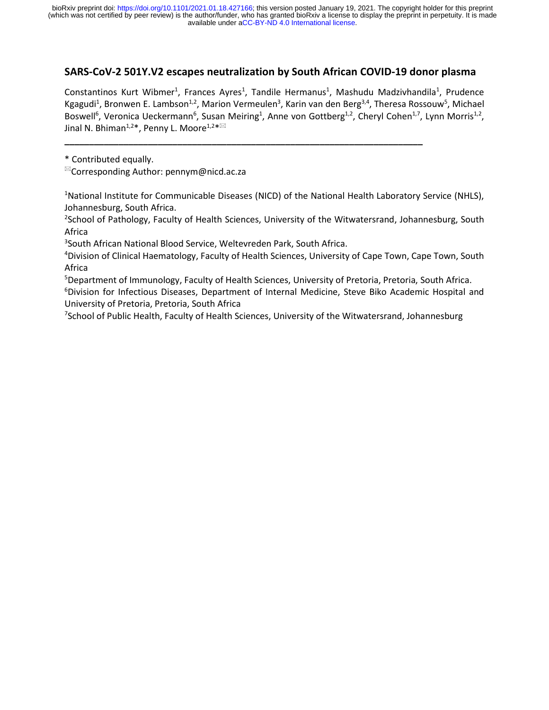# **SARS-CoV-2 501Y.V2 escapes neutralization by South African COVID-19 donor plasma**

Constantinos Kurt Wibmer<sup>1</sup>, Frances Ayres<sup>1</sup>, Tandile Hermanus<sup>1</sup>, Mashudu Madzivhandila<sup>1</sup>, Prudence Kgagudi<sup>1</sup>, Bronwen E. Lambson<sup>1,2</sup>, Marion Vermeulen<sup>3</sup>, Karin van den Berg<sup>3,4</sup>, Theresa Rossouw<sup>5</sup>, Michael Boswell<sup>6</sup>, Veronica Ueckermann<sup>6</sup>, Susan Meiring<sup>1</sup>, Anne von Gottberg<sup>1,2</sup>, Cheryl Cohen<sup>1,7</sup>, Lynn Morris<sup>1,2</sup>, Jinal N. Bhiman $^{1,2*}$ , Penny L. Moore $^{1,2* \boxtimes}$ 

**\_\_\_\_\_\_\_\_\_\_\_\_\_\_\_\_\_\_\_\_\_\_\_\_\_\_\_\_\_\_\_\_\_\_\_\_\_\_\_\_\_\_\_\_\_\_\_\_\_\_\_\_\_\_\_\_\_\_\_\_\_\_\_\_\_\_\_\_\_\_\_\_\_**

\* Contributed equally.

 $\mathbb{Z}$ Corresponding Author: pennym@nicd.ac.za

<sup>1</sup>National Institute for Communicable Diseases (NICD) of the National Health Laboratory Service (NHLS), Johannesburg, South Africa.

<sup>2</sup>School of Pathology, Faculty of Health Sciences, University of the Witwatersrand, Johannesburg, South Africa

3 South African National Blood Service, Weltevreden Park, South Africa.

<sup>4</sup>Division of Clinical Haematology, Faculty of Health Sciences, University of Cape Town, Cape Town, South Africa

<sup>5</sup>Department of Immunology, Faculty of Health Sciences, University of Pretoria, Pretoria, South Africa. <sup>6</sup>Division for Infectious Diseases, Department of Internal Medicine, Steve Biko Academic Hospital and University of Pretoria, Pretoria, South Africa

 $^7$ School of Public Health, Faculty of Health Sciences, University of the Witwatersrand, Johannesburg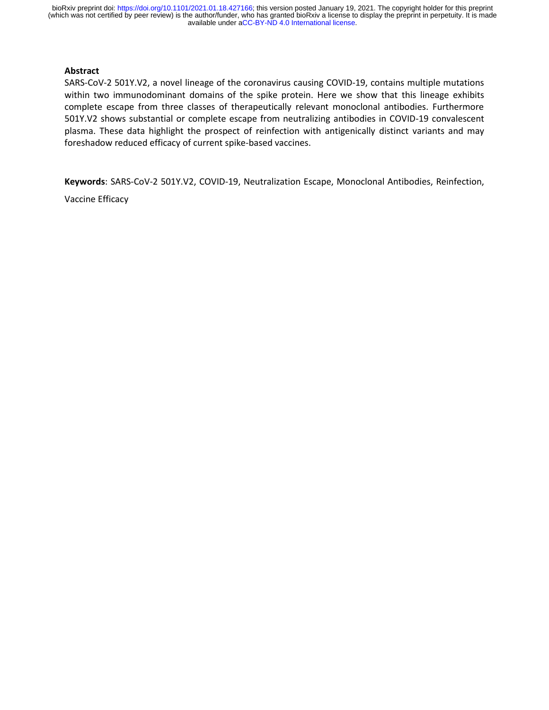#### **Abstract**

SARS-CoV-2 501Y.V2, a novel lineage of the coronavirus causing COVID-19, contains multiple mutations within two immunodominant domains of the spike protein. Here we show that this lineage exhibits complete escape from three classes of therapeutically relevant monoclonal antibodies. Furthermore 501Y.V2 shows substantial or complete escape from neutralizing antibodies in COVID-19 convalescent plasma. These data highlight the prospect of reinfection with antigenically distinct variants and may foreshadow reduced efficacy of current spike-based vaccines.

**Keywords**: SARS-CoV-2 501Y.V2, COVID-19, Neutralization Escape, Monoclonal Antibodies, Reinfection,

Vaccine Efficacy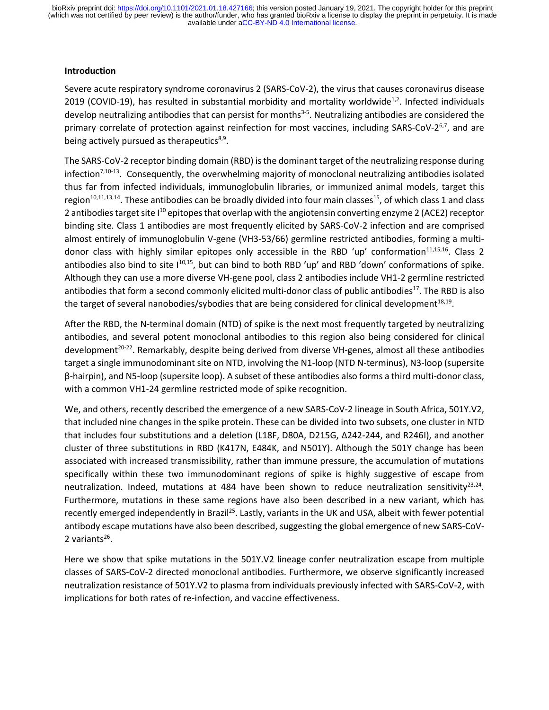#### **Introduction**

Severe acute respiratory syndrome coronavirus 2 (SARS-CoV-2), the virus that causes coronavirus disease 2019 (COVID-19), has resulted in substantial morbidity and mortality worldwide<sup>1,2</sup>. Infected individuals develop neutralizing antibodies that can persist for months<sup>3-5</sup>. Neutralizing antibodies are considered the primary correlate of protection against reinfection for most vaccines, including SARS-CoV-2<sup>6,7</sup>, and are being actively pursued as therapeutics<sup>8,9</sup>.

The SARS-CoV-2 receptor binding domain (RBD) is the dominant target of the neutralizing response during infection<sup>7,10-13</sup>. Consequently, the overwhelming majority of monoclonal neutralizing antibodies isolated thus far from infected individuals, immunoglobulin libraries, or immunized animal models, target this region<sup>10,11,13,14</sup>. These antibodies can be broadly divided into four main classes<sup>15</sup>, of which class 1 and class 2 antibodies target site  $1^{10}$  epitopes that overlap with the angiotensin converting enzyme 2 (ACE2) receptor binding site. Class 1 antibodies are most frequently elicited by SARS-CoV-2 infection and are comprised almost entirely of immunoglobulin V-gene (VH3-53/66) germline restricted antibodies, forming a multidonor class with highly similar epitopes only accessible in the RBD 'up' conformation<sup>11,15,16</sup>. Class 2 antibodies also bind to site  $1^{10,15}$ , but can bind to both RBD 'up' and RBD 'down' conformations of spike. Although they can use a more diverse VH-gene pool, class 2 antibodies include VH1-2 germline restricted antibodies that form a second commonly elicited multi-donor class of public antibodies<sup>17</sup>. The RBD is also the target of several nanobodies/sybodies that are being considered for clinical development<sup>18,19</sup>.

After the RBD, the N-terminal domain (NTD) of spike is the next most frequently targeted by neutralizing antibodies, and several potent monoclonal antibodies to this region also being considered for clinical development<sup>20-22</sup>. Remarkably, despite being derived from diverse VH-genes, almost all these antibodies target a single immunodominant site on NTD, involving the N1-loop (NTD N-terminus), N3-loop (supersite β-hairpin), and N5-loop (supersite loop). A subset of these antibodies also forms a third multi-donor class, with a common VH1-24 germline restricted mode of spike recognition.

We, and others, recently described the emergence of a new SARS-CoV-2 lineage in South Africa, 501Y.V2, that included nine changes in the spike protein. These can be divided into two subsets, one cluster in NTD that includes four substitutions and a deletion (L18F, D80A, D215G, Δ242-244, and R246I), and another cluster of three substitutions in RBD (K417N, E484K, and N501Y). Although the 501Y change has been associated with increased transmissibility, rather than immune pressure, the accumulation of mutations specifically within these two immunodominant regions of spike is highly suggestive of escape from neutralization. Indeed, mutations at 484 have been shown to reduce neutralization sensitivity<sup>23,24</sup>. Furthermore, mutations in these same regions have also been described in a new variant, which has recently emerged independently in Brazil<sup>25</sup>. Lastly, variants in the UK and USA, albeit with fewer potential antibody escape mutations have also been described, suggesting the global emergence of new SARS-CoV-2 variants<sup>26</sup>.

Here we show that spike mutations in the 501Y.V2 lineage confer neutralization escape from multiple classes of SARS-CoV-2 directed monoclonal antibodies. Furthermore, we observe significantly increased neutralization resistance of 501Y.V2 to plasma from individuals previously infected with SARS-CoV-2, with implications for both rates of re-infection, and vaccine effectiveness.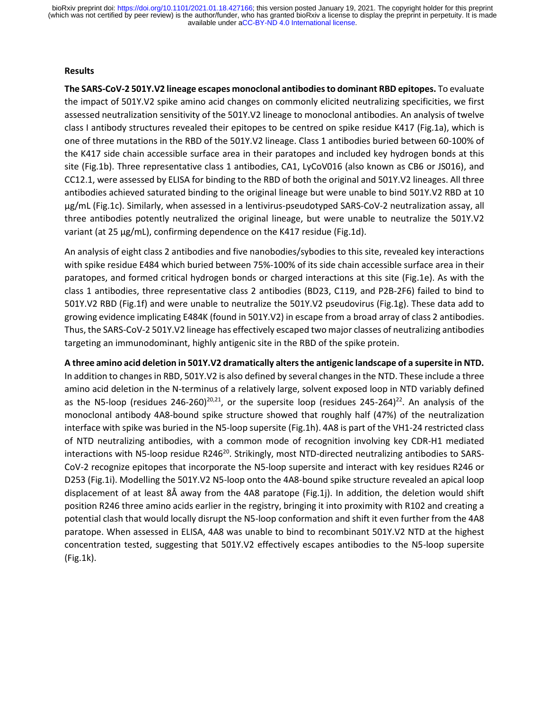### **Results**

**The SARS-CoV-2 501Y.V2 lineage escapes monoclonal antibodies to dominant RBD epitopes.** To evaluate the impact of 501Y.V2 spike amino acid changes on commonly elicited neutralizing specificities, we first assessed neutralization sensitivity of the 501Y.V2 lineage to monoclonal antibodies. An analysis of twelve class I antibody structures revealed their epitopes to be centred on spike residue K417 (Fig.1a), which is one of three mutations in the RBD of the 501Y.V2 lineage. Class 1 antibodies buried between 60-100% of the K417 side chain accessible surface area in their paratopes and included key hydrogen bonds at this site (Fig.1b). Three representative class 1 antibodies, CA1, LyCoV016 (also known as CB6 or JS016), and CC12.1, were assessed by ELISA for binding to the RBD of both the original and 501Y.V2 lineages. All three antibodies achieved saturated binding to the original lineage but were unable to bind 501Y.V2 RBD at 10 μg/mL (Fig.1c). Similarly, when assessed in a lentivirus-pseudotyped SARS-CoV-2 neutralization assay, all three antibodies potently neutralized the original lineage, but were unable to neutralize the 501Y.V2 variant (at 25 μg/mL), confirming dependence on the K417 residue (Fig.1d).

An analysis of eight class 2 antibodies and five nanobodies/sybodies to this site, revealed key interactions with spike residue E484 which buried between 75%-100% of its side chain accessible surface area in their paratopes, and formed critical hydrogen bonds or charged interactions at this site (Fig.1e). As with the class 1 antibodies, three representative class 2 antibodies (BD23, C119, and P2B-2F6) failed to bind to 501Y.V2 RBD (Fig.1f) and were unable to neutralize the 501Y.V2 pseudovirus (Fig.1g). These data add to growing evidence implicating E484K (found in 501Y.V2) in escape from a broad array of class 2 antibodies. Thus, the SARS-CoV-2 501Y.V2 lineage has effectively escaped two major classes of neutralizing antibodies targeting an immunodominant, highly antigenic site in the RBD of the spike protein.

**A three amino acid deletion in 501Y.V2 dramatically alters the antigenic landscape of a supersite in NTD.** In addition to changes in RBD, 501Y.V2 is also defined by several changes in the NTD. These include a three amino acid deletion in the N-terminus of a relatively large, solvent exposed loop in NTD variably defined as the N5-loop (residues 246-260)<sup>20,21</sup>, or the supersite loop (residues 245-264)<sup>22</sup>. An analysis of the monoclonal antibody 4A8-bound spike structure showed that roughly half (47%) of the neutralization interface with spike was buried in the N5-loop supersite (Fig.1h). 4A8 is part of the VH1-24 restricted class of NTD neutralizing antibodies, with a common mode of recognition involving key CDR-H1 mediated interactions with N5-loop residue R246<sup>20</sup>. Strikingly, most NTD-directed neutralizing antibodies to SARS-CoV-2 recognize epitopes that incorporate the N5-loop supersite and interact with key residues R246 or D253 (Fig.1i). Modelling the 501Y.V2 N5-loop onto the 4A8-bound spike structure revealed an apical loop displacement of at least 8Å away from the 4A8 paratope (Fig.1j). In addition, the deletion would shift position R246 three amino acids earlier in the registry, bringing it into proximity with R102 and creating a potential clash that would locally disrupt the N5-loop conformation and shift it even further from the 4A8 paratope. When assessed in ELISA, 4A8 was unable to bind to recombinant 501Y.V2 NTD at the highest concentration tested, suggesting that 501Y.V2 effectively escapes antibodies to the N5-loop supersite (Fig.1k).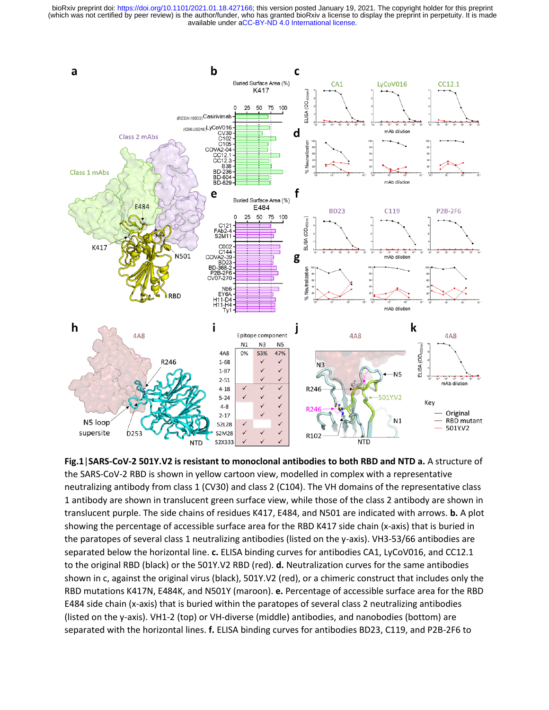

**Fig.1**|**SARS-CoV-2 501Y.V2 is resistant to monoclonal antibodies to both RBD and NTD a.** A structure of the SARS-CoV-2 RBD is shown in yellow cartoon view, modelled in complex with a representative neutralizing antibody from class 1 (CV30) and class 2 (C104). The VH domains of the representative class 1 antibody are shown in translucent green surface view, while those of the class 2 antibody are shown in translucent purple. The side chains of residues K417, E484, and N501 are indicated with arrows. **b.** A plot showing the percentage of accessible surface area for the RBD K417 side chain (x-axis) that is buried in the paratopes of several class 1 neutralizing antibodies (listed on the y-axis). VH3-53/66 antibodies are separated below the horizontal line. **c.** ELISA binding curves for antibodies CA1, LyCoV016, and CC12.1 to the original RBD (black) or the 501Y.V2 RBD (red). **d.** Neutralization curves for the same antibodies shown in c, against the original virus (black), 501Y.V2 (red), or a chimeric construct that includes only the RBD mutations K417N, E484K, and N501Y (maroon). **e.** Percentage of accessible surface area for the RBD E484 side chain (x-axis) that is buried within the paratopes of several class 2 neutralizing antibodies (listed on the y-axis). VH1-2 (top) or VH-diverse (middle) antibodies, and nanobodies (bottom) are separated with the horizontal lines. **f.** ELISA binding curves for antibodies BD23, C119, and P2B-2F6 to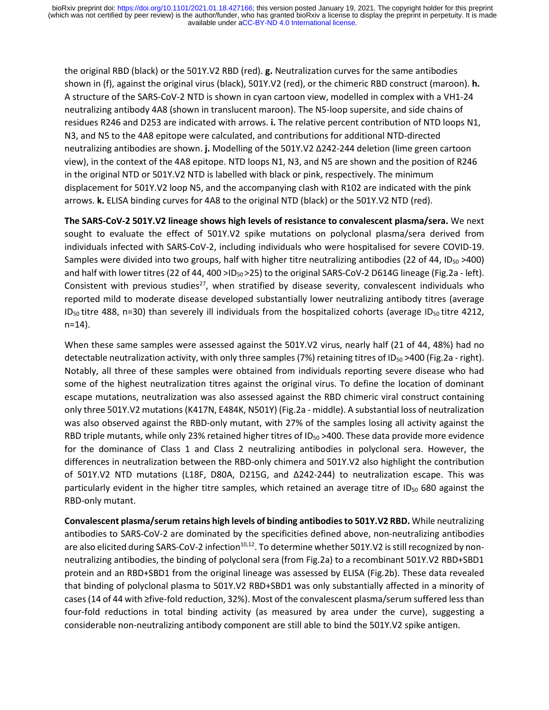the original RBD (black) or the 501Y.V2 RBD (red). **g.** Neutralization curves for the same antibodies shown in (f), against the original virus (black), 501Y.V2 (red), or the chimeric RBD construct (maroon). **h.** A structure of the SARS-CoV-2 NTD is shown in cyan cartoon view, modelled in complex with a VH1-24 neutralizing antibody 4A8 (shown in translucent maroon). The N5-loop supersite, and side chains of residues R246 and D253 are indicated with arrows. **i.** The relative percent contribution of NTD loops N1, N3, and N5 to the 4A8 epitope were calculated, and contributions for additional NTD-directed neutralizing antibodies are shown. **j.** Modelling of the 501Y.V2 Δ242-244 deletion (lime green cartoon view), in the context of the 4A8 epitope. NTD loops N1, N3, and N5 are shown and the position of R246 in the original NTD or 501Y.V2 NTD is labelled with black or pink, respectively. The minimum displacement for 501Y.V2 loop N5, and the accompanying clash with R102 are indicated with the pink arrows. **k.** ELISA binding curves for 4A8 to the original NTD (black) or the 501Y.V2 NTD (red).

**The SARS-CoV-2 501Y.V2 lineage shows high levels of resistance to convalescent plasma/sera.** We next sought to evaluate the effect of 501Y.V2 spike mutations on polyclonal plasma/sera derived from individuals infected with SARS-CoV-2, including individuals who were hospitalised for severe COVID-19. Samples were divided into two groups, half with higher titre neutralizing antibodies (22 of 44, ID<sub>50</sub> >400) and half with lower titres (22 of 44, 400 >  $D_{50}$  > 25) to the original SARS-CoV-2 D614G lineage (Fig.2a - left). Consistent with previous studies<sup>27</sup>, when stratified by disease severity, convalescent individuals who reported mild to moderate disease developed substantially lower neutralizing antibody titres (average ID<sub>50</sub> titre 488, n=30) than severely ill individuals from the hospitalized cohorts (average ID<sub>50</sub> titre 4212, n=14).

When these same samples were assessed against the 501Y.V2 virus, nearly half (21 of 44, 48%) had no detectable neutralization activity, with only three samples (7%) retaining titres of ID<sub>50</sub> >400 (Fig.2a - right). Notably, all three of these samples were obtained from individuals reporting severe disease who had some of the highest neutralization titres against the original virus. To define the location of dominant escape mutations, neutralization was also assessed against the RBD chimeric viral construct containing only three 501Y.V2 mutations (K417N, E484K, N501Y) (Fig.2a - middle). A substantial loss of neutralization was also observed against the RBD-only mutant, with 27% of the samples losing all activity against the RBD triple mutants, while only 23% retained higher titres of  $ID_{50} > 400$ . These data provide more evidence for the dominance of Class 1 and Class 2 neutralizing antibodies in polyclonal sera. However, the differences in neutralization between the RBD-only chimera and 501Y.V2 also highlight the contribution of 501Y.V2 NTD mutations (L18F, D80A, D215G, and Δ242-244) to neutralization escape. This was particularly evident in the higher titre samples, which retained an average titre of ID<sub>50</sub> 680 against the RBD-only mutant.

**Convalescent plasma/serum retains high levels of binding antibodies to 501Y.V2 RBD.** While neutralizing antibodies to SARS-CoV-2 are dominated by the specificities defined above, non-neutralizing antibodies are also elicited during SARS-CoV-2 infection<sup>10,12</sup>. To determine whether 501Y.V2 is still recognized by nonneutralizing antibodies, the binding of polyclonal sera (from Fig.2a) to a recombinant 501Y.V2 RBD+SBD1 protein and an RBD+SBD1 from the original lineage was assessed by ELISA (Fig.2b). These data revealed that binding of polyclonal plasma to 501Y.V2 RBD+SBD1 was only substantially affected in a minority of cases(14 of 44 with ≥five-fold reduction, 32%). Most of the convalescent plasma/serum suffered less than four-fold reductions in total binding activity (as measured by area under the curve), suggesting a considerable non-neutralizing antibody component are still able to bind the 501Y.V2 spike antigen.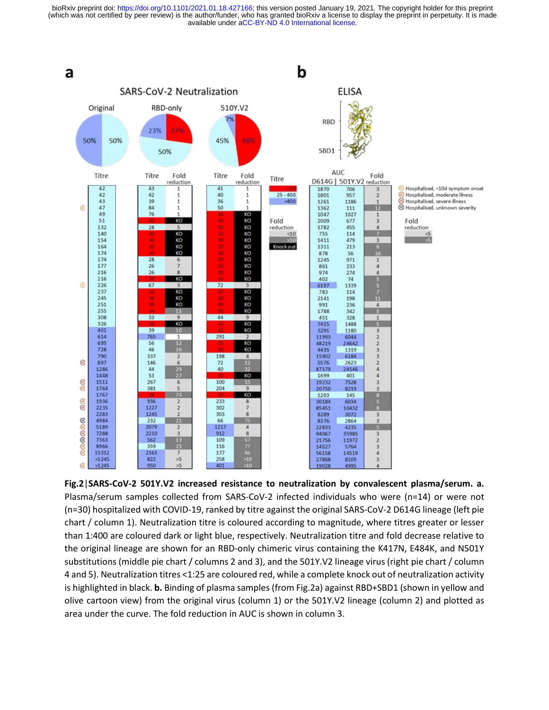

**Fig.2**|**SARS-CoV-2 501Y.V2 increased resistance to neutralization by convalescent plasma/serum. a.** Plasma/serum samples collected from SARS-CoV-2 infected individuals who were (n=14) or were not (n=30) hospitalized with COVID-19, ranked by titre against the original SARS-CoV-2 D614G lineage (left pie chart / column 1). Neutralization titre is coloured according to magnitude, where titres greater or lesser than 1:400 are coloured dark or light blue, respectively. Neutralization titre and fold decrease relative to the original lineage are shown for an RBD-only chimeric virus containing the K417N, E484K, and N501Y substitutions (middle pie chart / columns 2 and 3), and the 501Y.V2 lineage virus (right pie chart / column 4 and 5). Neutralization titres <1:25 are coloured red, while a complete knock out of neutralization activity is highlighted in black. **b.** Binding of plasma samples (from Fig.2a) against RBD+SBD1 (shown in yellow and olive cartoon view) from the original virus (column 1) or the 501Y.V2 lineage (column 2) and plotted as area under the curve. The fold reduction in AUC is shown in column 3.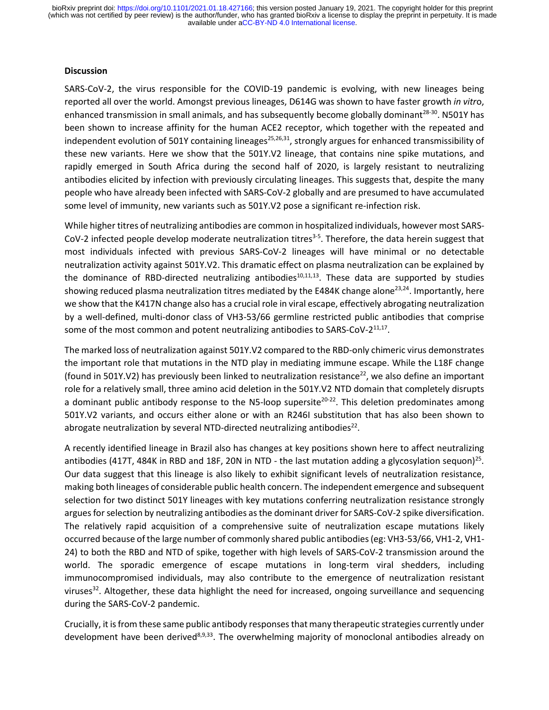#### **Discussion**

SARS-CoV-2, the virus responsible for the COVID-19 pandemic is evolving, with new lineages being reported all over the world. Amongst previous lineages, D614G was shown to have faster growth *in vitr*o, enhanced transmission in small animals, and has subsequently become globally dominant<sup>28-30</sup>. N501Y has been shown to increase affinity for the human ACE2 receptor, which together with the repeated and independent evolution of 501Y containing lineages<sup>25,26,31</sup>, strongly argues for enhanced transmissibility of these new variants. Here we show that the 501Y.V2 lineage, that contains nine spike mutations, and rapidly emerged in South Africa during the second half of 2020, is largely resistant to neutralizing antibodies elicited by infection with previously circulating lineages. This suggests that, despite the many people who have already been infected with SARS-CoV-2 globally and are presumed to have accumulated some level of immunity, new variants such as 501Y.V2 pose a significant re-infection risk.

While higher titres of neutralizing antibodies are common in hospitalized individuals, however most SARS-CoV-2 infected people develop moderate neutralization titres<sup>3-5</sup>. Therefore, the data herein suggest that most individuals infected with previous SARS-CoV-2 lineages will have minimal or no detectable neutralization activity against 501Y.V2. This dramatic effect on plasma neutralization can be explained by the dominance of RBD-directed neutralizing antibodies<sup>10,11,13</sup>. These data are supported by studies showing reduced plasma neutralization titres mediated by the E484K change alone<sup>23,24</sup>. Importantly, here we show that the K417N change also has a crucial role in viral escape, effectively abrogating neutralization by a well-defined, multi-donor class of VH3-53/66 germline restricted public antibodies that comprise some of the most common and potent neutralizing antibodies to SARS-CoV-2 $^{11,17}$ .

The marked loss of neutralization against 501Y.V2 compared to the RBD-only chimeric virus demonstrates the important role that mutations in the NTD play in mediating immune escape. While the L18F change (found in 501Y.V2) has previously been linked to neutralization resistance<sup>22</sup>, we also define an important role for a relatively small, three amino acid deletion in the 501Y.V2 NTD domain that completely disrupts a dominant public antibody response to the N5-loop supersite<sup>20-22</sup>. This deletion predominates among 501Y.V2 variants, and occurs either alone or with an R246I substitution that has also been shown to abrogate neutralization by several NTD-directed neutralizing antibodies $^{22}$ .

A recently identified lineage in Brazil also has changes at key positions shown here to affect neutralizing antibodies (417T, 484K in RBD and 18F, 20N in NTD - the last mutation adding a glycosylation sequon)<sup>25</sup>. Our data suggest that this lineage is also likely to exhibit significant levels of neutralization resistance, making both lineages of considerable public health concern. The independent emergence and subsequent selection for two distinct 501Y lineages with key mutations conferring neutralization resistance strongly argues for selection by neutralizing antibodies as the dominant driver for SARS-CoV-2 spike diversification. The relatively rapid acquisition of a comprehensive suite of neutralization escape mutations likely occurred because of the large number of commonly shared public antibodies (eg: VH3-53/66, VH1-2, VH1- 24) to both the RBD and NTD of spike, together with high levels of SARS-CoV-2 transmission around the world. The sporadic emergence of escape mutations in long-term viral shedders, including immunocompromised individuals, may also contribute to the emergence of neutralization resistant viruses<sup>32</sup>. Altogether, these data highlight the need for increased, ongoing surveillance and sequencing during the SARS-CoV-2 pandemic.

Crucially, it is from these same public antibody responses thatmany therapeutic strategies currently under development have been derived<sup>8,9,33</sup>. The overwhelming majority of monoclonal antibodies already on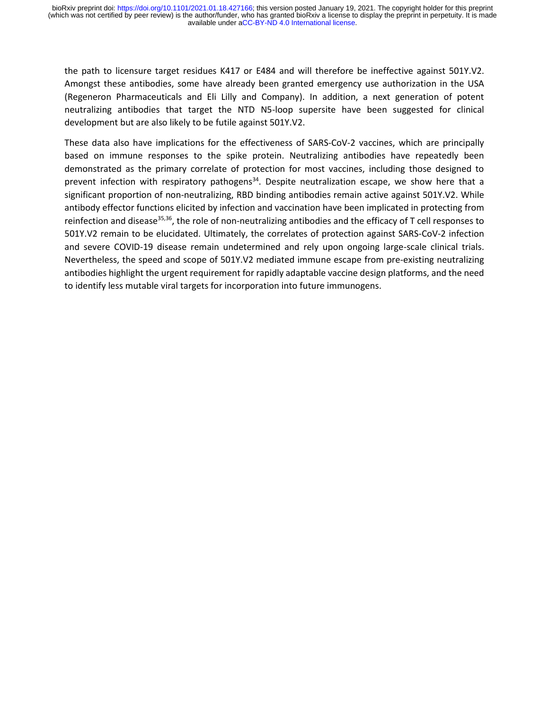the path to licensure target residues K417 or E484 and will therefore be ineffective against 501Y.V2. Amongst these antibodies, some have already been granted emergency use authorization in the USA (Regeneron Pharmaceuticals and Eli Lilly and Company). In addition, a next generation of potent neutralizing antibodies that target the NTD N5-loop supersite have been suggested for clinical development but are also likely to be futile against 501Y.V2.

These data also have implications for the effectiveness of SARS-CoV-2 vaccines, which are principally based on immune responses to the spike protein. Neutralizing antibodies have repeatedly been demonstrated as the primary correlate of protection for most vaccines, including those designed to prevent infection with respiratory pathogens<sup>34</sup>. Despite neutralization escape, we show here that a significant proportion of non-neutralizing, RBD binding antibodies remain active against 501Y.V2. While antibody effector functions elicited by infection and vaccination have been implicated in protecting from reinfection and disease<sup>35,36</sup>, the role of non-neutralizing antibodies and the efficacy of T cell responses to 501Y.V2 remain to be elucidated. Ultimately, the correlates of protection against SARS-CoV-2 infection and severe COVID-19 disease remain undetermined and rely upon ongoing large-scale clinical trials. Nevertheless, the speed and scope of 501Y.V2 mediated immune escape from pre-existing neutralizing antibodies highlight the urgent requirement for rapidly adaptable vaccine design platforms, and the need to identify less mutable viral targets for incorporation into future immunogens.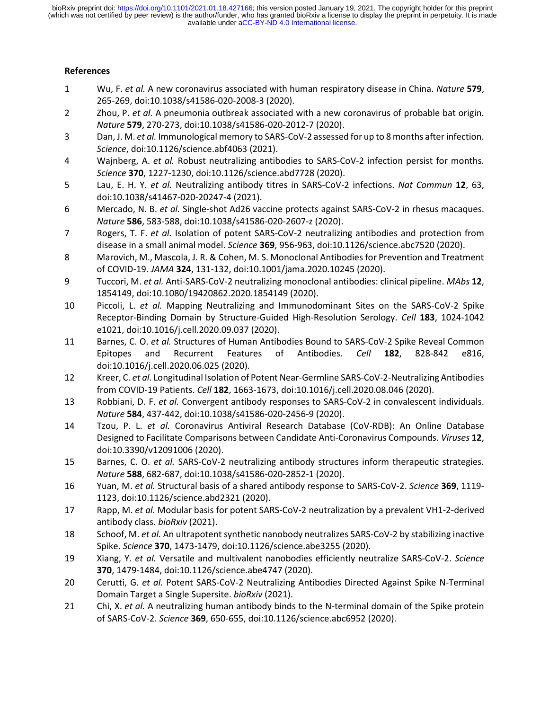# **References**

- 1 Wu, F. *et al.* A new coronavirus associated with human respiratory disease in China. *Nature* **579**, 265-269, doi:10.1038/s41586-020-2008-3 (2020).
- 2 Zhou, P. *et al.* A pneumonia outbreak associated with a new coronavirus of probable bat origin. *Nature* **579**, 270-273, doi:10.1038/s41586-020-2012-7 (2020).
- 3 Dan, J. M. *et al.* Immunological memory to SARS-CoV-2 assessed for up to 8 months after infection. *Science*, doi:10.1126/science.abf4063 (2021).
- 4 Wajnberg, A. *et al.* Robust neutralizing antibodies to SARS-CoV-2 infection persist for months. *Science* **370**, 1227-1230, doi:10.1126/science.abd7728 (2020).
- 5 Lau, E. H. Y. *et al.* Neutralizing antibody titres in SARS-CoV-2 infections. *Nat Commun* **12**, 63, doi:10.1038/s41467-020-20247-4 (2021).
- 6 Mercado, N. B. *et al.* Single-shot Ad26 vaccine protects against SARS-CoV-2 in rhesus macaques. *Nature* **586**, 583-588, doi:10.1038/s41586-020-2607-z (2020).
- 7 Rogers, T. F. *et al.* Isolation of potent SARS-CoV-2 neutralizing antibodies and protection from disease in a small animal model. *Science* **369**, 956-963, doi:10.1126/science.abc7520 (2020).
- 8 Marovich, M., Mascola, J. R. & Cohen, M. S. Monoclonal Antibodies for Prevention and Treatment of COVID-19. *JAMA* **324**, 131-132, doi:10.1001/jama.2020.10245 (2020).
- 9 Tuccori, M. *et al.* Anti-SARS-CoV-2 neutralizing monoclonal antibodies: clinical pipeline. *MAbs* **12**, 1854149, doi:10.1080/19420862.2020.1854149 (2020).
- 10 Piccoli, L. *et al.* Mapping Neutralizing and Immunodominant Sites on the SARS-CoV-2 Spike Receptor-Binding Domain by Structure-Guided High-Resolution Serology. *Cell* **183**, 1024-1042 e1021, doi:10.1016/j.cell.2020.09.037 (2020).
- 11 Barnes, C. O. *et al.* Structures of Human Antibodies Bound to SARS-CoV-2 Spike Reveal Common Epitopes and Recurrent Features of Antibodies. *Cell* **182**, 828-842 e816, doi:10.1016/j.cell.2020.06.025 (2020).
- 12 Kreer, C. *et al.* Longitudinal Isolation of Potent Near-Germline SARS-CoV-2-Neutralizing Antibodies from COVID-19 Patients. *Cell* **182**, 1663-1673, doi:10.1016/j.cell.2020.08.046 (2020).
- 13 Robbiani, D. F. *et al.* Convergent antibody responses to SARS-CoV-2 in convalescent individuals. *Nature* **584**, 437-442, doi:10.1038/s41586-020-2456-9 (2020).
- 14 Tzou, P. L. *et al.* Coronavirus Antiviral Research Database (CoV-RDB): An Online Database Designed to Facilitate Comparisons between Candidate Anti-Coronavirus Compounds. *Viruses* **12**, doi:10.3390/v12091006 (2020).
- 15 Barnes, C. O. *et al.* SARS-CoV-2 neutralizing antibody structures inform therapeutic strategies. *Nature* **588**, 682-687, doi:10.1038/s41586-020-2852-1 (2020).
- 16 Yuan, M. *et al.* Structural basis of a shared antibody response to SARS-CoV-2. *Science* **369**, 1119- 1123, doi:10.1126/science.abd2321 (2020).
- 17 Rapp, M. *et al.* Modular basis for potent SARS-CoV-2 neutralization by a prevalent VH1-2-derived antibody class. *bioRxiv* (2021).
- 18 Schoof, M. *et al.* An ultrapotent synthetic nanobody neutralizes SARS-CoV-2 by stabilizing inactive Spike. *Science* **370**, 1473-1479, doi:10.1126/science.abe3255 (2020).
- 19 Xiang, Y. *et al.* Versatile and multivalent nanobodies efficiently neutralize SARS-CoV-2. *Science* **370**, 1479-1484, doi:10.1126/science.abe4747 (2020).
- 20 Cerutti, G. *et al.* Potent SARS-CoV-2 Neutralizing Antibodies Directed Against Spike N-Terminal Domain Target a Single Supersite. *bioRxiv* (2021).
- 21 Chi, X. *et al.* A neutralizing human antibody binds to the N-terminal domain of the Spike protein of SARS-CoV-2. *Science* **369**, 650-655, doi:10.1126/science.abc6952 (2020).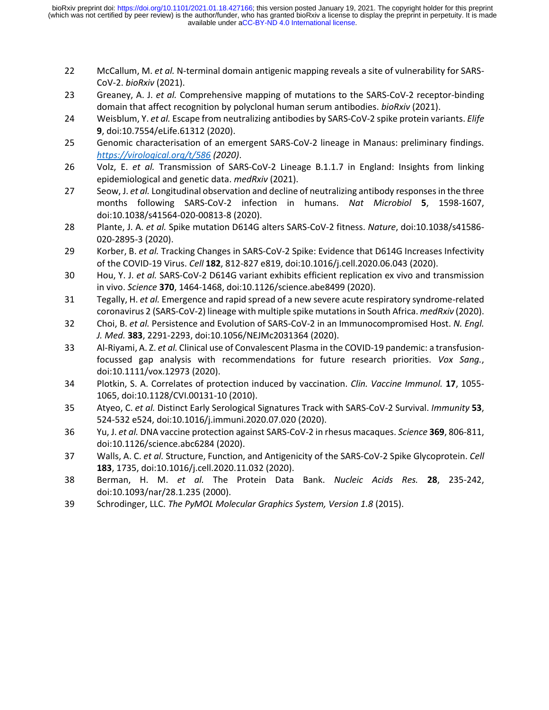- 22 McCallum, M. *et al.* N-terminal domain antigenic mapping reveals a site of vulnerability for SARS-CoV-2. *bioRxiv* (2021).
- 23 Greaney, A. J. *et al.* Comprehensive mapping of mutations to the SARS-CoV-2 receptor-binding domain that affect recognition by polyclonal human serum antibodies. *bioRxiv* (2021).
- 24 Weisblum, Y. *et al.* Escape from neutralizing antibodies by SARS-CoV-2 spike protein variants. *Elife* **9**, doi:10.7554/eLife.61312 (2020).
- 25 Genomic characterisation of an emergent SARS-CoV-2 lineage in Manaus: preliminary findings. *<https://virological.org/t/586> (2020)*.
- 26 Volz, E. *et al.* Transmission of SARS-CoV-2 Lineage B.1.1.7 in England: Insights from linking epidemiological and genetic data. *medRxiv* (2021).
- 27 Seow, J. *et al.* Longitudinal observation and decline of neutralizing antibody responses in the three months following SARS-CoV-2 infection in humans. *Nat Microbiol* **5**, 1598-1607, doi:10.1038/s41564-020-00813-8 (2020).
- 28 Plante, J. A. *et al.* Spike mutation D614G alters SARS-CoV-2 fitness. *Nature*, doi:10.1038/s41586- 020-2895-3 (2020).
- 29 Korber, B. *et al.* Tracking Changes in SARS-CoV-2 Spike: Evidence that D614G Increases Infectivity of the COVID-19 Virus. *Cell* **182**, 812-827 e819, doi:10.1016/j.cell.2020.06.043 (2020).
- 30 Hou, Y. J. *et al.* SARS-CoV-2 D614G variant exhibits efficient replication ex vivo and transmission in vivo. *Science* **370**, 1464-1468, doi:10.1126/science.abe8499 (2020).
- 31 Tegally, H. *et al.* Emergence and rapid spread of a new severe acute respiratory syndrome-related coronavirus 2 (SARS-CoV-2) lineage with multiple spike mutations in South Africa. *medRxiv* (2020).
- 32 Choi, B. *et al.* Persistence and Evolution of SARS-CoV-2 in an Immunocompromised Host. *N. Engl. J. Med.* **383**, 2291-2293, doi:10.1056/NEJMc2031364 (2020).
- 33 Al-Riyami, A. Z. *et al.* Clinical use of Convalescent Plasma in the COVID-19 pandemic: a transfusionfocussed gap analysis with recommendations for future research priorities. *Vox Sang.*, doi:10.1111/vox.12973 (2020).
- 34 Plotkin, S. A. Correlates of protection induced by vaccination. *Clin. Vaccine Immunol.* **17**, 1055- 1065, doi:10.1128/CVI.00131-10 (2010).
- 35 Atyeo, C. *et al.* Distinct Early Serological Signatures Track with SARS-CoV-2 Survival. *Immunity* **53**, 524-532 e524, doi:10.1016/j.immuni.2020.07.020 (2020).
- 36 Yu, J. *et al.* DNA vaccine protection against SARS-CoV-2 in rhesus macaques. *Science* **369**, 806-811, doi:10.1126/science.abc6284 (2020).
- 37 Walls, A. C. *et al.* Structure, Function, and Antigenicity of the SARS-CoV-2 Spike Glycoprotein. *Cell* **183**, 1735, doi:10.1016/j.cell.2020.11.032 (2020).
- 38 Berman, H. M. *et al.* The Protein Data Bank. *Nucleic Acids Res.* **28**, 235-242, doi:10.1093/nar/28.1.235 (2000).
- 39 Schrodinger, LLC. *The PyMOL Molecular Graphics System, Version 1.8* (2015).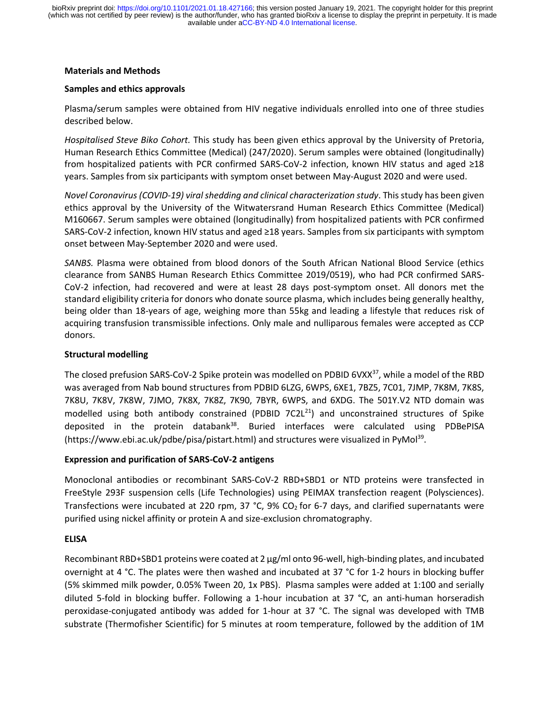### **Materials and Methods**

### **Samples and ethics approvals**

Plasma/serum samples were obtained from HIV negative individuals enrolled into one of three studies described below.

*Hospitalised Steve Biko Cohort.* This study has been given ethics approval by the University of Pretoria, Human Research Ethics Committee (Medical) (247/2020). Serum samples were obtained (longitudinally) from hospitalized patients with PCR confirmed SARS-CoV-2 infection, known HIV status and aged ≥18 years. Samples from six participants with symptom onset between May-August 2020 and were used.

*Novel Coronavirus (COVID-19) viral shedding and clinical characterization study*. This study has been given ethics approval by the University of the Witwatersrand Human Research Ethics Committee (Medical) M160667. Serum samples were obtained (longitudinally) from hospitalized patients with PCR confirmed SARS-CoV-2 infection, known HIV status and aged ≥18 years. Samples from six participants with symptom onset between May-September 2020 and were used.

*SANBS.* Plasma were obtained from blood donors of the South African National Blood Service (ethics clearance from SANBS Human Research Ethics Committee 2019/0519), who had PCR confirmed SARS-CoV-2 infection, had recovered and were at least 28 days post-symptom onset. All donors met the standard eligibility criteria for donors who donate source plasma, which includes being generally healthy, being older than 18-years of age, weighing more than 55kg and leading a lifestyle that reduces risk of acquiring transfusion transmissible infections. Only male and nulliparous females were accepted as CCP donors.

# **Structural modelling**

The closed prefusion SARS-CoV-2 Spike protein was modelled on PDBID 6VXX<sup>37</sup>, while a model of the RBD was averaged from Nab bound structures from PDBID 6LZG, 6WPS, 6XE1, 7BZ5, 7C01, 7JMP, 7K8M, 7K8S, 7K8U, 7K8V, 7K8W, 7JMO, 7K8X, 7K8Z, 7K90, 7BYR, 6WPS, and 6XDG. The 501Y.V2 NTD domain was modelled using both antibody constrained (PDBID  $7C2L^{21}$ ) and unconstrained structures of Spike deposited in the protein databank<sup>38</sup>. Buried interfaces were calculated using PDBePISA (https://www.ebi.ac.uk/pdbe/pisa/pistart.html) and structures were visualized in PyMol<sup>39</sup>.

# **Expression and purification of SARS-CoV-2 antigens**

Monoclonal antibodies or recombinant SARS-CoV-2 RBD+SBD1 or NTD proteins were transfected in FreeStyle 293F suspension cells (Life Technologies) using PEIMAX transfection reagent (Polysciences). Transfections were incubated at 220 rpm, 37 °C, 9% CO<sub>2</sub> for 6-7 days, and clarified supernatants were purified using nickel affinity or protein A and size-exclusion chromatography.

# **ELISA**

Recombinant RBD+SBD1 proteins were coated at 2 μg/ml onto 96-well, high-binding plates, and incubated overnight at 4 °C. The plates were then washed and incubated at 37 °C for 1-2 hours in blocking buffer (5% skimmed milk powder, 0.05% Tween 20, 1x PBS). Plasma samples were added at 1:100 and serially diluted 5-fold in blocking buffer. Following a 1-hour incubation at 37 °C, an anti-human horseradish peroxidase-conjugated antibody was added for 1-hour at 37 °C. The signal was developed with TMB substrate (Thermofisher Scientific) for 5 minutes at room temperature, followed by the addition of 1M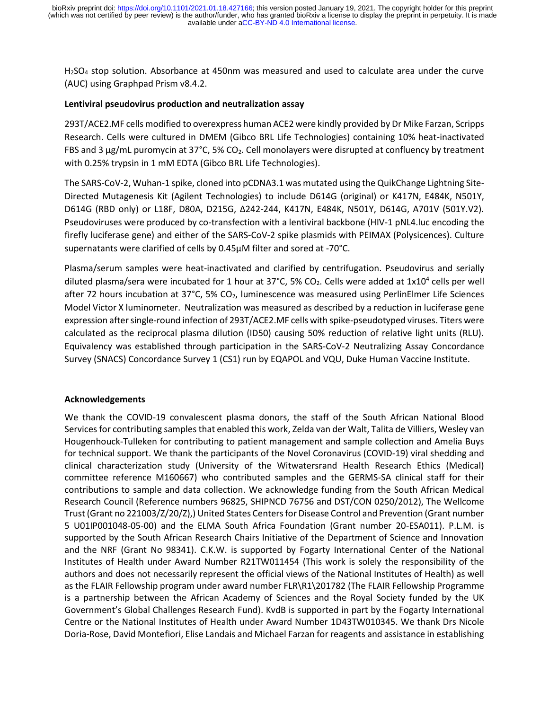H2SO<sup>4</sup> stop solution. Absorbance at 450nm was measured and used to calculate area under the curve (AUC) using Graphpad Prism v8.4.2.

# **Lentiviral pseudovirus production and neutralization assay**

293T/ACE2.MF cells modified to overexpress human ACE2 were kindly provided by Dr Mike Farzan, Scripps Research. Cells were cultured in DMEM (Gibco BRL Life Technologies) containing 10% heat-inactivated FBS and 3 μg/mL puromycin at 37°C, 5% CO2. Cell monolayers were disrupted at confluency by treatment with 0.25% trypsin in 1 mM EDTA (Gibco BRL Life Technologies).

The SARS-CoV-2, Wuhan-1 spike, cloned into pCDNA3.1 was mutated using the QuikChange Lightning Site-Directed Mutagenesis Kit (Agilent Technologies) to include D614G (original) or K417N, E484K, N501Y, D614G (RBD only) or L18F, D80A, D215G, Δ242-244, K417N, E484K, N501Y, D614G, A701V (501Y.V2). Pseudoviruses were produced by co-transfection with a lentiviral backbone (HIV-1 pNL4.luc encoding the firefly luciferase gene) and either of the SARS-CoV-2 spike plasmids with PEIMAX (Polysicences). Culture supernatants were clarified of cells by 0.45μM filter and sored at -70°C.

Plasma/serum samples were heat-inactivated and clarified by centrifugation. Pseudovirus and serially diluted plasma/sera were incubated for 1 hour at 37°C, 5% CO<sub>2</sub>. Cells were added at 1x10<sup>4</sup> cells per well after 72 hours incubation at 37°C, 5% CO2, luminescence was measured using PerlinElmer Life Sciences Model Victor X luminometer. Neutralization was measured as described by a reduction in luciferase gene expression after single-round infection of 293T/ACE2.MF cells with spike-pseudotyped viruses. Titers were calculated as the reciprocal plasma dilution (ID50) causing 50% reduction of relative light units (RLU). Equivalency was established through participation in the SARS-CoV-2 Neutralizing Assay Concordance Survey (SNACS) Concordance Survey 1 (CS1) run by EQAPOL and VQU, Duke Human Vaccine Institute.

# **Acknowledgements**

We thank the COVID-19 convalescent plasma donors, the staff of the South African National Blood Services for contributing samples that enabled this work, Zelda van der Walt, Talita de Villiers, Wesley van Hougenhouck-Tulleken for contributing to patient management and sample collection and Amelia Buys for technical support. We thank the participants of the Novel Coronavirus (COVID-19) viral shedding and clinical characterization study (University of the Witwatersrand Health Research Ethics (Medical) committee reference M160667) who contributed samples and the GERMS-SA clinical staff for their contributions to sample and data collection. We acknowledge funding from the South African Medical Research Council (Reference numbers 96825, SHIPNCD 76756 and DST/CON 0250/2012), The Wellcome Trust (Grant no 221003/Z/20/Z),) United States Centers for Disease Control and Prevention (Grant number 5 U01IP001048-05-00) and the ELMA South Africa Foundation (Grant number 20-ESA011). P.L.M. is supported by the South African Research Chairs Initiative of the Department of Science and Innovation and the NRF (Grant No 98341). C.K.W. is supported by Fogarty International Center of the National Institutes of Health under Award Number R21TW011454 (This work is solely the responsibility of the authors and does not necessarily represent the official views of the National Institutes of Health) as well as the FLAIR Fellowship program under award number FLR\R1\201782 (The FLAIR Fellowship Programme is a partnership between the African Academy of Sciences and the Royal Society funded by the UK Government's Global Challenges Research Fund). KvdB is supported in part by the Fogarty International Centre or the National Institutes of Health under Award Number 1D43TW010345. We thank Drs Nicole Doria-Rose, David Montefiori, Elise Landais and Michael Farzan for reagents and assistance in establishing